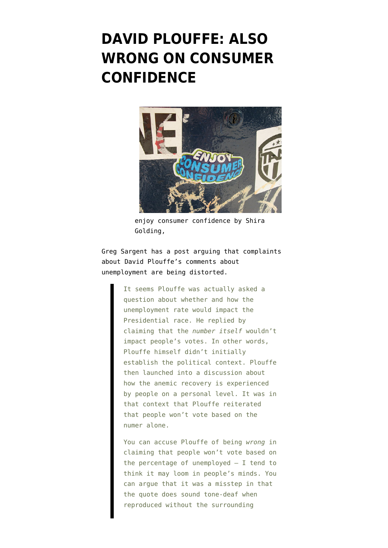## **[DAVID PLOUFFE: ALSO](https://www.emptywheel.net/2011/07/08/david-plouffe-also-wrong-on-consumer-confidence/) [WRONG ON CONSUMER](https://www.emptywheel.net/2011/07/08/david-plouffe-also-wrong-on-consumer-confidence/) [CONFIDENCE](https://www.emptywheel.net/2011/07/08/david-plouffe-also-wrong-on-consumer-confidence/)**



enjoy consumer confidence by Shira Golding,

Greg Sargent has a post [arguing](http://www.washingtonpost.com/blogs/plum-line/post/what-did-david-plouffe-really-say-about-unemployment/2011/03/03/gIQAs9Qr3H_blog.html) that complaints about David Plouffe's [comments](http://www.bloomberg.com/news/2011-07-07/unemployment-rate-won-t-hobble-re-election-david-plouffe-says.html) about unemployment are being distorted.

> It seems Plouffe was actually asked a question about whether and how the unemployment rate would impact the Presidential race. He replied by claiming that the *number itself* wouldn't impact people's votes. In other words, Plouffe himself didn't initially establish the political context. Plouffe then launched into a discussion about how the anemic recovery is experienced by people on a personal level. It was in that context that Plouffe reiterated that people won't vote based on the numer alone.

> You can accuse Plouffe of being *wrong* in claiming that people won't vote based on the percentage of unemployed — I tend to think it may loom in people's minds. You can argue that it was a misstep in that the quote does sound tone-deaf when reproduced without the surrounding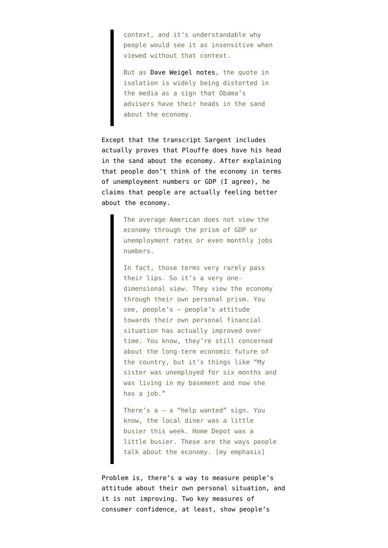context, and it's understandable why people would see it as insensitive when viewed without that context.

But as [Dave Weigel notes,](http://www.slate.com/blogs/weigel.html) the quote in isolation is widely being distorted in the media as a sign that Obama's advisers have their heads in the sand about the economy.

Except that the transcript Sargent includes actually proves that Plouffe does have his head in the sand about the economy. After explaining that people don't think of the economy in terms of unemployment numbers or GDP (I agree), he claims that people are actually feeling better about the economy.

> The average American does not view the economy through the prism of GDP or unemployment rates or even monthly jobs numbers.

In fact, those terms very rarely pass their lips. So it's a very onedimensional view. They view the economy through their own personal prism. You see, people's — people's attitude towards their own personal financial situation has actually improved over time. You know, they're still concerned about the long-term economic future of the country, but it's things like "My sister was unemployed for six months and was living in my basement and now she has a job."

There's  $a - a$  "help wanted" sign. You know, the local diner was a little busier this week. Home Depot was a little busier. These are the ways people talk about the economy. [my emphasis]

Problem is, there's a way to measure people's attitude about their own personal situation, and it is not improving. Two key measures of consumer confidence, at least, [show](http://www.marketwatch.com/story/consumer-sentiment-declines-in-june-2011-07-01?dist=countdown) people's